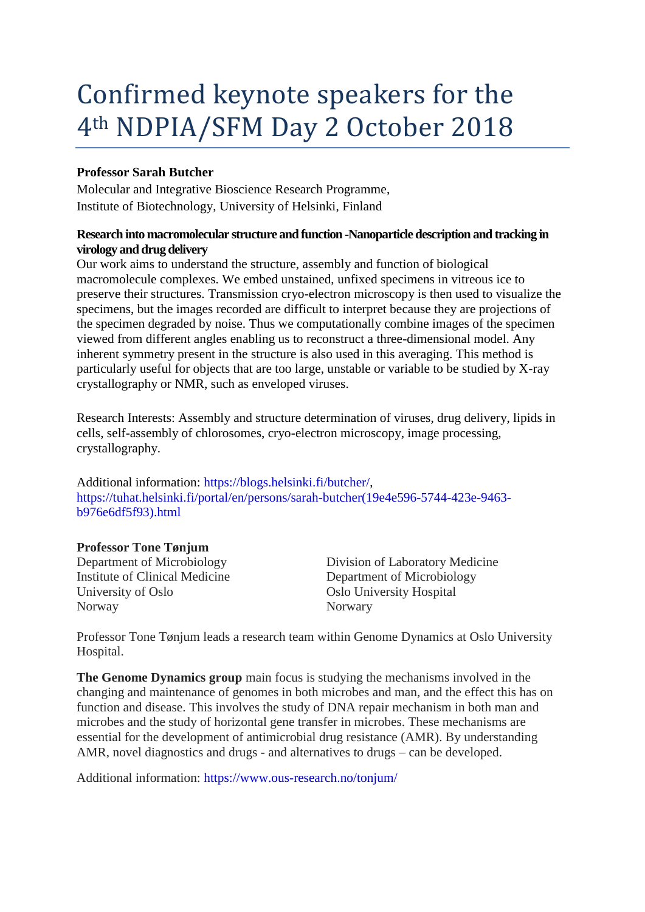# Confirmed keynote speakers for the 4th NDPIA/SFM Day 2 October 2018

# **Professor Sarah Butcher**

Molecular and Integrative Bioscience Research Programme, Institute of Biotechnology, University of Helsinki, Finland

#### **Research into macromolecular structure and function -Nanoparticle description and tracking in virology and drug delivery**

Our work aims to understand the structure, assembly and function of biological macromolecule complexes. We embed unstained, unfixed specimens in vitreous ice to preserve their structures. Transmission cryo-electron microscopy is then used to visualize the specimens, but the images recorded are difficult to interpret because they are projections of the specimen degraded by noise. Thus we computationally combine images of the specimen viewed from different angles enabling us to reconstruct a three-dimensional model. Any inherent symmetry present in the structure is also used in this averaging. This method is particularly useful for objects that are too large, unstable or variable to be studied by X-ray crystallography or NMR, such as enveloped viruses.

Research Interests: Assembly and structure determination of viruses, drug delivery, lipids in cells, self-assembly of chlorosomes, cryo-electron microscopy, image processing, crystallography.

Additional information: [https://blogs.helsinki.fi/butcher/,](https://blogs.helsinki.fi/butcher/) [https://tuhat.helsinki.fi/portal/en/persons/sarah-butcher\(19e4e596-5744-423e-9463](https://tuhat.helsinki.fi/portal/en/persons/sarah-butcher(19e4e596-5744-423e-9463-b976e6df5f93).html) [b976e6df5f93\).html](https://tuhat.helsinki.fi/portal/en/persons/sarah-butcher(19e4e596-5744-423e-9463-b976e6df5f93).html)

## **Professor Tone Tønjum**

Institute of Clinical Medicine Department of Microbiology University of Oslo Chiversity Hospital Oslo University Hospital Norway Norwary

Department of Microbiology Division of Laboratory Medicine

Professor Tone Tønjum leads a research team within Genome Dynamics at Oslo University Hospital.

**The Genome Dynamics group** main focus is studying the mechanisms involved in the changing and maintenance of genomes in both microbes and man, and the effect this has on function and disease. This involves the study of DNA repair mechanism in both man and microbes and the study of horizontal gene transfer in microbes. These mechanisms are essential for the development of antimicrobial drug resistance (AMR). By understanding AMR, novel diagnostics and drugs - and alternatives to drugs – can be developed.

Additional information: <https://www.ous-research.no/tonjum/>